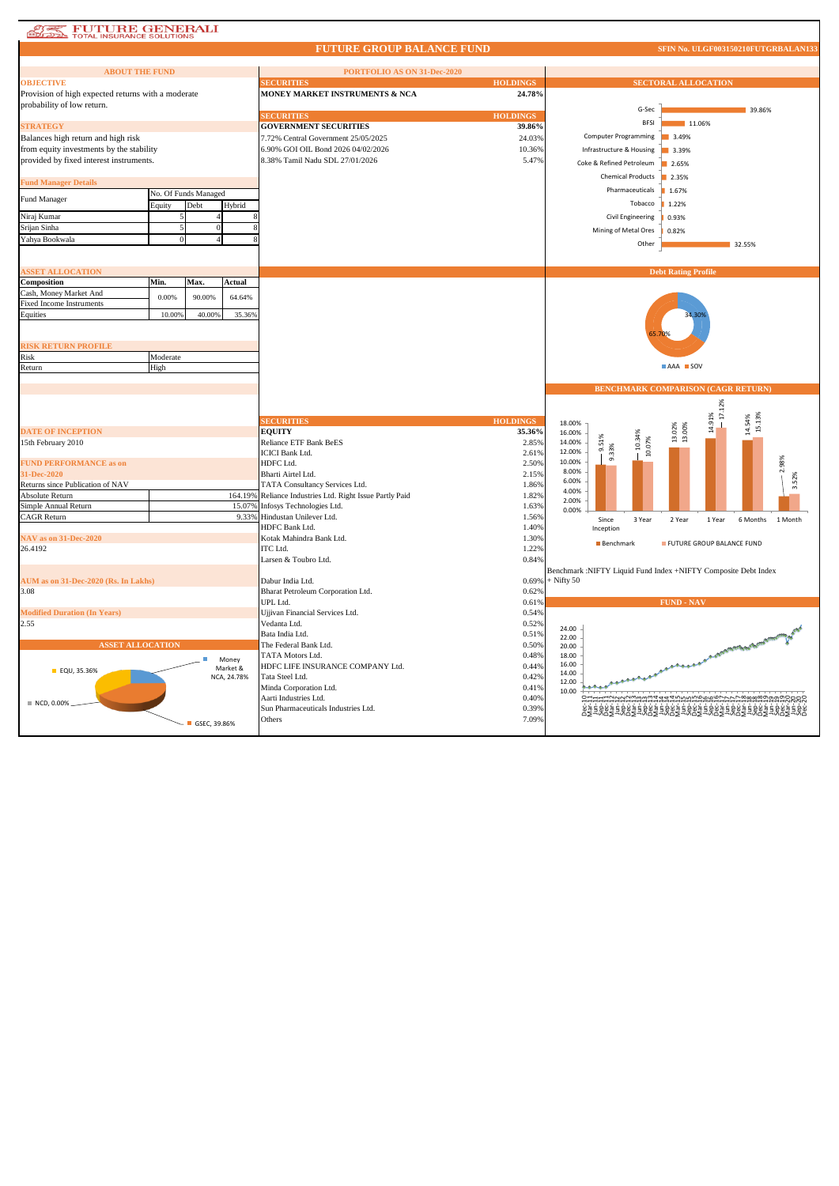# **ATALE TOTAL INSURANCE SOLUTIONS**

### **FUTURE GROUP BALANCE FUND**

SFIN No. ULGF003150210FUTGRBALAN13

| <b>ABOUT THE FUND</b>                              |          |                      |                         | PORTFOLIO AS ON 31-Dec-2020                              |                 |                                     |                                                                |
|----------------------------------------------------|----------|----------------------|-------------------------|----------------------------------------------------------|-----------------|-------------------------------------|----------------------------------------------------------------|
| <b>OBJECTIVE</b>                                   |          |                      |                         | <b>ECURITIES</b>                                         | <b>HOLDINGS</b> |                                     | <b>SECTORAL ALLOCATION</b>                                     |
| Provision of high expected returns with a moderate |          |                      |                         | MONEY MARKET INSTRUMENTS & NCA                           | 24.78%          |                                     |                                                                |
| probability of low return.                         |          |                      |                         |                                                          |                 | G-Sec                               | 39.86%                                                         |
|                                                    |          |                      |                         | <b>ECURITIES</b>                                         | <b>HOLDINGS</b> |                                     |                                                                |
| <b>STRATEGY</b>                                    |          |                      |                         | <b>GOVERNMENT SECURITIES</b>                             | 39.86%          | <b>BFSI</b>                         | 11.06%                                                         |
| Balances high return and high risk                 |          |                      |                         | 7.72% Central Government 25/05/2025                      | 24.03%          | Computer Programming                | 3.49%                                                          |
| from equity investments by the stability           |          |                      |                         | 6.90% GOI OIL Bond 2026 04/02/2026                       | 10.36%          | Infrastructure & Housing            | 3.39%                                                          |
| provided by fixed interest instruments.            |          |                      |                         | 8.38% Tamil Nadu SDL 27/01/2026                          | 5.47%           |                                     |                                                                |
|                                                    |          |                      |                         |                                                          |                 | Coke & Refined Petroleum            | 2.65%                                                          |
|                                                    |          |                      |                         |                                                          |                 | <b>Chemical Products</b>            | 2.35%                                                          |
| <b>Fund Manager Details</b>                        |          |                      |                         |                                                          |                 | Pharmaceuticals                     | 1.67%                                                          |
| Fund Manager                                       |          | No. Of Funds Managed |                         |                                                          |                 |                                     |                                                                |
|                                                    | Equity   | Debt                 | Hybrid                  |                                                          |                 | Tobacco                             | 1.22%                                                          |
| Niraj Kumar                                        |          |                      |                         |                                                          |                 | Civil Engineering                   | 0.93%                                                          |
| Srijan Sinha                                       |          | $\theta$             |                         |                                                          |                 | Mining of Metal Ores                | 0.82%                                                          |
| Yahya Bookwala                                     | $\Omega$ | $\overline{4}$       |                         |                                                          |                 |                                     |                                                                |
|                                                    |          |                      |                         |                                                          |                 | Other                               | 32.55%                                                         |
|                                                    |          |                      |                         |                                                          |                 |                                     |                                                                |
| <b>ASSET ALLOCATION</b>                            |          |                      |                         |                                                          |                 |                                     | <b>Debt Rating Profile</b>                                     |
| Composition                                        | Min.     | Max.                 | Actual                  |                                                          |                 |                                     |                                                                |
| Cash, Money Market And                             |          |                      |                         |                                                          |                 |                                     |                                                                |
| <b>Fixed Income Instruments</b>                    | 0.00%    | 90.00%               | 64.64%                  |                                                          |                 |                                     |                                                                |
| Equities                                           | 10.00%   | 40.00%               | 35.36%                  |                                                          |                 |                                     | 34.309                                                         |
|                                                    |          |                      |                         |                                                          |                 |                                     |                                                                |
|                                                    |          |                      |                         |                                                          |                 |                                     |                                                                |
|                                                    |          |                      |                         |                                                          |                 |                                     |                                                                |
| <b>RISK RETURN PROFILE</b>                         |          |                      |                         |                                                          |                 |                                     |                                                                |
| Risk                                               | Moderate |                      |                         |                                                          |                 |                                     | AAA SOV                                                        |
| Return                                             | High     |                      |                         |                                                          |                 |                                     |                                                                |
|                                                    |          |                      |                         |                                                          |                 |                                     |                                                                |
|                                                    |          |                      |                         |                                                          |                 |                                     | <b>BENCHMARK COMPARISON (CAGR RETURN)</b>                      |
|                                                    |          |                      |                         |                                                          |                 |                                     |                                                                |
|                                                    |          |                      |                         |                                                          |                 |                                     | $-17.12%$                                                      |
|                                                    |          |                      |                         | <b>ECURITIES</b>                                         | <b>HOLDINGS</b> | 18.00%                              | 14.91%<br>$14.54%$<br>15.13%                                   |
| <b>DATE OF INCEPTION</b>                           |          |                      |                         | <b>EQUITY</b>                                            | 35.36%          | 16.00%                              | $13.02\%$<br>$13.00\%$                                         |
| 15th February 2010                                 |          |                      |                         | Reliance ETF Bank BeES                                   | 2.85%           | 10.34%<br>9.51%<br>10.07%<br>14.00% |                                                                |
|                                                    |          |                      |                         | <b>ICICI Bank Ltd.</b>                                   | 2.61%           | 9.33%<br>12.00%                     |                                                                |
| <b>FUND PERFORMANCE as on</b>                      |          |                      |                         | HDFC Ltd.                                                | 2.50%           | 10.00%                              |                                                                |
| 31-Dec-2020                                        |          |                      |                         | Bharti Airtel Ltd.                                       | 2.15%           | 8.00%<br>6.00%                      |                                                                |
| Returns since Publication of NAV                   |          |                      |                         | TATA Consultancy Services Ltd.                           | 1.86%           | 4.00%                               |                                                                |
| Absolute Return                                    |          |                      |                         | 164.19% Reliance Industries Ltd. Right Issue Partly Paid | 1.82%           | 2.00%                               |                                                                |
| Simple Annual Return                               |          |                      | 15.07%                  | Infosys Technologies Ltd.                                | 1.63%           | 0.00%                               |                                                                |
| <b>CAGR Return</b>                                 |          |                      |                         | 9.33% Hindustan Unilever Ltd.                            | 1.56%           | Since<br>3 Year                     | 6 Months<br>2 Year<br>1 Year<br>1 Month                        |
|                                                    |          |                      |                         | HDFC Bank Ltd.                                           | 1.40%           | Inception                           |                                                                |
| NAV as on 31-Dec-2020                              |          |                      |                         | Kotak Mahindra Bank Ltd.                                 | 1.30%           | <b>Benchmark</b>                    | FUTURE GROUP BALANCE FUND                                      |
| 26.4192                                            |          |                      |                         | ITC Ltd.                                                 | 1.22%           |                                     |                                                                |
|                                                    |          |                      |                         | Larsen & Toubro Ltd.                                     | 0.84%           |                                     |                                                                |
|                                                    |          |                      |                         |                                                          |                 |                                     | Benchmark :NIFTY Liquid Fund Index +NIFTY Composite Debt Index |
| AUM as on 31-Dec-2020 (Rs. In Lakhs)               |          |                      |                         | Dabur India Ltd.                                         | 0.69%           | $+$ Nifty 50                        |                                                                |
| 3.08                                               |          |                      |                         | Bharat Petroleum Corporation Ltd.                        | 0.62%           |                                     |                                                                |
|                                                    |          |                      |                         | UPL Ltd.                                                 | 0.61%           |                                     | <b>FUND - NAV</b>                                              |
| <b>Modified Duration (In Years)</b>                |          |                      |                         | Ujjivan Financial Services Ltd.                          | 0.54%           |                                     |                                                                |
| 2.55                                               |          |                      |                         | Vedanta Ltd.                                             | 0.52%           |                                     |                                                                |
|                                                    |          |                      |                         | Bata India Ltd.                                          | 0.51%           | 24.00                               |                                                                |
| <b>ASSET ALLOCATION</b>                            |          |                      |                         | The Federal Bank Ltd.                                    | 0.50%           | 22.00<br>20.00                      |                                                                |
|                                                    |          |                      |                         | TATA Motors Ltd.                                         | 0.48%           | 18.00                               | A CONTRACTORING BOTTONICO                                      |
|                                                    |          |                      | Money                   | HDFC LIFE INSURANCE COMPANY Ltd.                         | 0.44%           | 16.00                               |                                                                |
| <b>EQU, 35.36%</b>                                 |          |                      | Market &<br>NCA, 24.78% | Tata Steel Ltd.                                          | 0.42%           | 14.00                               |                                                                |
|                                                    |          |                      |                         |                                                          | 0.41%           | 12.00                               |                                                                |
|                                                    |          |                      |                         | Minda Corporation Ltd.                                   |                 | 10.00                               |                                                                |
| ■ NCD, 0.00%                                       |          |                      |                         | Aarti Industries Ltd.                                    | 0.40%           |                                     |                                                                |
|                                                    |          |                      |                         | Sun Pharmaceuticals Industries Ltd.                      | 0.39%           |                                     | ĔŔŔĔĔŔŔĔ                                                       |
|                                                    |          | $-$ GSEC, 39.86%     |                         | Others                                                   | 7.09%           |                                     |                                                                |
|                                                    |          |                      |                         |                                                          |                 |                                     |                                                                |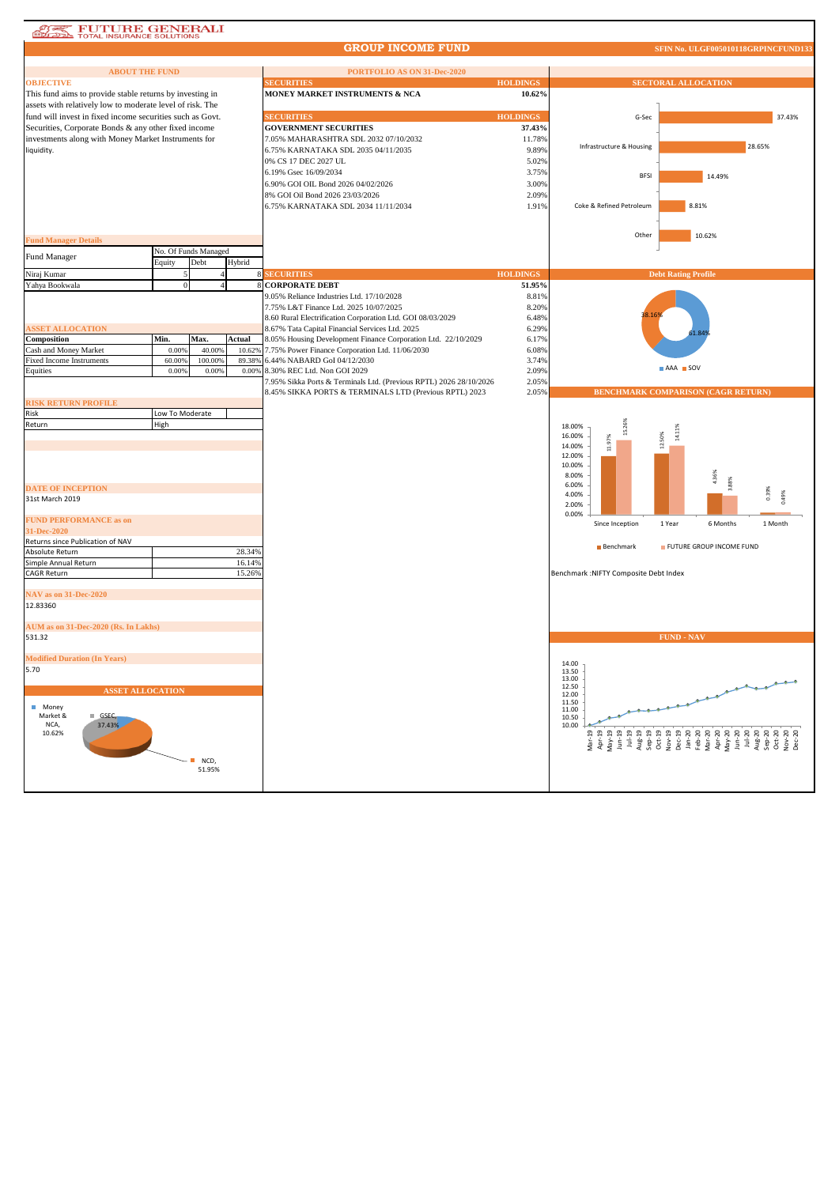### **AREA FUTURE GENERALI**

#### **GROUP INCOME FUND**

**SFIN No. ULGF005010118GRPINCFUND** 

| <b>ABOUT THE FUND</b><br><b>OBJECTIVE</b>                                                                         |                 |                      |        | PORTFOLIO AS ON 31-Dec-2020<br><b>SECURITIES</b>                      | <b>HOLDINGS</b> | <b>SECTORAL ALLOCATION</b>                                                                                                                                                                                                                                                                                                                                                                                                          |         |
|-------------------------------------------------------------------------------------------------------------------|-----------------|----------------------|--------|-----------------------------------------------------------------------|-----------------|-------------------------------------------------------------------------------------------------------------------------------------------------------------------------------------------------------------------------------------------------------------------------------------------------------------------------------------------------------------------------------------------------------------------------------------|---------|
| This fund aims to provide stable returns by investing in                                                          |                 |                      |        | MONEY MARKET INSTRUMENTS & NCA                                        | 10.62%          |                                                                                                                                                                                                                                                                                                                                                                                                                                     |         |
|                                                                                                                   |                 |                      |        |                                                                       |                 |                                                                                                                                                                                                                                                                                                                                                                                                                                     |         |
| assets with relatively low to moderate level of risk. The                                                         |                 |                      |        | <b>SECURITIES</b>                                                     | <b>HOLDINGS</b> |                                                                                                                                                                                                                                                                                                                                                                                                                                     | 37.43%  |
| fund will invest in fixed income securities such as Govt.<br>Securities, Corporate Bonds & any other fixed income |                 |                      |        | <b>GOVERNMENT SECURITIES</b>                                          | 37.43%          | G-Sec                                                                                                                                                                                                                                                                                                                                                                                                                               |         |
|                                                                                                                   |                 |                      |        | 7.05% MAHARASHTRA SDL 2032 07/10/2032                                 |                 |                                                                                                                                                                                                                                                                                                                                                                                                                                     |         |
| investments along with Money Market Instruments for                                                               |                 |                      |        | 6.75% KARNATAKA SDL 2035 04/11/2035                                   | 11.78%<br>9.89% | Infrastructure & Housing                                                                                                                                                                                                                                                                                                                                                                                                            | 28.65%  |
| liquidity.                                                                                                        |                 |                      |        | 0% CS 17 DEC 2027 UL                                                  | 5.02%           |                                                                                                                                                                                                                                                                                                                                                                                                                                     |         |
|                                                                                                                   |                 |                      |        | 6.19% Gsec 16/09/2034                                                 | 3.75%           |                                                                                                                                                                                                                                                                                                                                                                                                                                     |         |
|                                                                                                                   |                 |                      |        |                                                                       |                 | <b>BFSI</b><br>14.49%                                                                                                                                                                                                                                                                                                                                                                                                               |         |
|                                                                                                                   |                 |                      |        | 6.90% GOI OIL Bond 2026 04/02/2026<br>8% GOI Oil Bond 2026 23/03/2026 | 3.00%<br>2.09%  |                                                                                                                                                                                                                                                                                                                                                                                                                                     |         |
|                                                                                                                   |                 |                      |        |                                                                       |                 | Coke & Refined Petroleum<br>8.81%                                                                                                                                                                                                                                                                                                                                                                                                   |         |
|                                                                                                                   |                 |                      |        | 6.75% KARNATAKA SDL 2034 11/11/2034                                   | 1.91%           |                                                                                                                                                                                                                                                                                                                                                                                                                                     |         |
|                                                                                                                   |                 |                      |        |                                                                       |                 |                                                                                                                                                                                                                                                                                                                                                                                                                                     |         |
| <b>Fund Manager Details</b>                                                                                       |                 |                      |        |                                                                       |                 | Other<br>10.62%                                                                                                                                                                                                                                                                                                                                                                                                                     |         |
|                                                                                                                   |                 | No. Of Funds Managed |        |                                                                       |                 |                                                                                                                                                                                                                                                                                                                                                                                                                                     |         |
| Fund Manager                                                                                                      | Equity          | Debt                 | Hybrid |                                                                       |                 |                                                                                                                                                                                                                                                                                                                                                                                                                                     |         |
| Niraj Kumar                                                                                                       |                 |                      |        | <b>SECURITIES</b>                                                     | <b>HOLDINGS</b> | <b>Debt Rating Profile</b>                                                                                                                                                                                                                                                                                                                                                                                                          |         |
| Yahya Bookwala                                                                                                    | $\Omega$        |                      |        | <b>CORPORATE DEBT</b>                                                 | 51.95%          |                                                                                                                                                                                                                                                                                                                                                                                                                                     |         |
|                                                                                                                   |                 |                      |        | 9.05% Reliance Industries Ltd. 17/10/2028                             | 8.81%           |                                                                                                                                                                                                                                                                                                                                                                                                                                     |         |
|                                                                                                                   |                 |                      |        | 7.75% L&T Finance Ltd. 2025 10/07/2025                                | 8.20%           |                                                                                                                                                                                                                                                                                                                                                                                                                                     |         |
|                                                                                                                   |                 |                      |        | 8.60 Rural Electrification Corporation Ltd. GOI 08/03/2029            | 6.48%           |                                                                                                                                                                                                                                                                                                                                                                                                                                     |         |
| <b>ASSET ALLOCATION</b>                                                                                           |                 |                      |        | 8.67% Tata Capital Financial Services Ltd. 2025                       | 6.29%           |                                                                                                                                                                                                                                                                                                                                                                                                                                     |         |
| Composition                                                                                                       | Min.            | Max.                 | Actual | 8.05% Housing Development Finance Corporation Ltd. 22/10/2029         | 6.17%           |                                                                                                                                                                                                                                                                                                                                                                                                                                     |         |
| Cash and Money Market                                                                                             | 0.009           | 40.009               | 10.629 | 7.75% Power Finance Corporation Ltd. 11/06/2030                       | 6.08%           |                                                                                                                                                                                                                                                                                                                                                                                                                                     |         |
| Fixed Income Instruments                                                                                          | 60.009          | 100.00%              | 89.38% | 6.44% NABARD GoI 04/12/2030                                           | 3.74%           |                                                                                                                                                                                                                                                                                                                                                                                                                                     |         |
| Equities                                                                                                          | 0.00%           | 0.00%                | 0.00%  | 8.30% REC Ltd. Non GOI 2029                                           | 2.09%           | AAA SOV                                                                                                                                                                                                                                                                                                                                                                                                                             |         |
|                                                                                                                   |                 |                      |        | 7.95% Sikka Ports & Terminals Ltd. (Previous RPTL) 2026 28/10/2026    | 2.05%           |                                                                                                                                                                                                                                                                                                                                                                                                                                     |         |
|                                                                                                                   |                 |                      |        | 8.45% SIKKA PORTS & TERMINALS LTD (Previous RPTL) 2023                | 2.05%           | BENCHMARK COMPARISON (CAGR RETURN)                                                                                                                                                                                                                                                                                                                                                                                                  |         |
| <b>RISK RETURN PROFILE</b>                                                                                        |                 |                      |        |                                                                       |                 |                                                                                                                                                                                                                                                                                                                                                                                                                                     |         |
| Risk                                                                                                              | Low To Moderate |                      |        |                                                                       |                 |                                                                                                                                                                                                                                                                                                                                                                                                                                     |         |
| Return                                                                                                            | High            |                      |        |                                                                       |                 | 18.00%<br>14.11%                                                                                                                                                                                                                                                                                                                                                                                                                    |         |
|                                                                                                                   |                 |                      |        |                                                                       |                 | 50%<br>16.00%<br>11.97%                                                                                                                                                                                                                                                                                                                                                                                                             |         |
|                                                                                                                   |                 |                      |        |                                                                       |                 | 14.00%<br>Νj.<br>12.00%                                                                                                                                                                                                                                                                                                                                                                                                             |         |
|                                                                                                                   |                 |                      |        |                                                                       |                 | 10.00%                                                                                                                                                                                                                                                                                                                                                                                                                              |         |
|                                                                                                                   |                 |                      |        |                                                                       |                 | 1.36%<br>8.00%                                                                                                                                                                                                                                                                                                                                                                                                                      |         |
| <b>DATE OF INCEPTION</b>                                                                                          |                 |                      |        |                                                                       |                 | <b>3.88%</b><br>6.00%                                                                                                                                                                                                                                                                                                                                                                                                               |         |
| 31st March 2019                                                                                                   |                 |                      |        |                                                                       |                 | 4.00%                                                                                                                                                                                                                                                                                                                                                                                                                               | 0.39%   |
|                                                                                                                   |                 |                      |        |                                                                       |                 | 2.00%                                                                                                                                                                                                                                                                                                                                                                                                                               |         |
| <b>FUND PERFORMANCE as on</b>                                                                                     |                 |                      |        |                                                                       |                 | 0.00%<br>Since Inception<br>1 Year<br>6 Months                                                                                                                                                                                                                                                                                                                                                                                      | 1 Month |
| 31-Dec-2020                                                                                                       |                 |                      |        |                                                                       |                 |                                                                                                                                                                                                                                                                                                                                                                                                                                     |         |
| Returns since Publication of NAV                                                                                  |                 |                      |        |                                                                       |                 | FUTURE GROUP INCOME FUND<br><b>Benchmark</b>                                                                                                                                                                                                                                                                                                                                                                                        |         |
| Absolute Return                                                                                                   |                 |                      | 28.34% |                                                                       |                 |                                                                                                                                                                                                                                                                                                                                                                                                                                     |         |
| Simple Annual Return                                                                                              |                 |                      | 16.14% |                                                                       |                 |                                                                                                                                                                                                                                                                                                                                                                                                                                     |         |
| <b>CAGR Return</b>                                                                                                |                 |                      | 15.26% |                                                                       |                 | Benchmark : NIFTY Composite Debt Index                                                                                                                                                                                                                                                                                                                                                                                              |         |
|                                                                                                                   |                 |                      |        |                                                                       |                 |                                                                                                                                                                                                                                                                                                                                                                                                                                     |         |
| NAV as on 31-Dec-2020<br>12.83360                                                                                 |                 |                      |        |                                                                       |                 |                                                                                                                                                                                                                                                                                                                                                                                                                                     |         |
|                                                                                                                   |                 |                      |        |                                                                       |                 |                                                                                                                                                                                                                                                                                                                                                                                                                                     |         |
| AUM as on 31-Dec-2020 (Rs. In Lakhs)                                                                              |                 |                      |        |                                                                       |                 |                                                                                                                                                                                                                                                                                                                                                                                                                                     |         |
| 531.32                                                                                                            |                 |                      |        |                                                                       |                 | <b>FUND - NAV</b>                                                                                                                                                                                                                                                                                                                                                                                                                   |         |
|                                                                                                                   |                 |                      |        |                                                                       |                 |                                                                                                                                                                                                                                                                                                                                                                                                                                     |         |
| <b>Modified Duration (In Years)</b>                                                                               |                 |                      |        |                                                                       |                 |                                                                                                                                                                                                                                                                                                                                                                                                                                     |         |
| 5.70                                                                                                              |                 |                      |        |                                                                       |                 | 14.00<br>13.50                                                                                                                                                                                                                                                                                                                                                                                                                      |         |
|                                                                                                                   |                 |                      |        |                                                                       |                 | 13.00                                                                                                                                                                                                                                                                                                                                                                                                                               |         |
| <b>ASSET ALLOCATION</b>                                                                                           |                 |                      |        |                                                                       |                 | 12.50<br>12.00                                                                                                                                                                                                                                                                                                                                                                                                                      |         |
|                                                                                                                   |                 |                      |        |                                                                       |                 | 11.50                                                                                                                                                                                                                                                                                                                                                                                                                               |         |
| Money<br>Market &<br>GSEC,                                                                                        |                 |                      |        |                                                                       |                 | 11.00<br>10.50                                                                                                                                                                                                                                                                                                                                                                                                                      |         |
| NCA,<br>37.43%                                                                                                    |                 |                      |        |                                                                       |                 | 10.00                                                                                                                                                                                                                                                                                                                                                                                                                               |         |
| 10.62%                                                                                                            |                 |                      |        |                                                                       |                 | $\begin{array}{l} \mathbf{1}_{\mathbf{2}}^{1} \mathbf{1}_{\mathbf{2}}^{1} \mathbf{1}_{\mathbf{2}}^{1} \\ \mathbf{1}_{\mathbf{2}}^{1} \mathbf{1}_{\mathbf{2}}^{1} \mathbf{1}_{\mathbf{2}}^{1} \\ \mathbf{1}_{\mathbf{2}}^{1} \mathbf{1}_{\mathbf{2}}^{1} \mathbf{1}_{\mathbf{2}}^{1} \mathbf{1}_{\mathbf{2}}^{1} \\ \mathbf{1}_{\mathbf{2}}^{1} \mathbf{1}_{\mathbf{2}}^{1} \mathbf{1}_{\mathbf{2}}^{1} \mathbf{1}_{\mathbf{2}}^{1}$ |         |
|                                                                                                                   |                 |                      |        |                                                                       |                 |                                                                                                                                                                                                                                                                                                                                                                                                                                     |         |
| $NCD$ ,                                                                                                           |                 |                      |        |                                                                       |                 |                                                                                                                                                                                                                                                                                                                                                                                                                                     |         |
|                                                                                                                   |                 | 51.95%               |        |                                                                       |                 |                                                                                                                                                                                                                                                                                                                                                                                                                                     |         |
|                                                                                                                   |                 |                      |        |                                                                       |                 |                                                                                                                                                                                                                                                                                                                                                                                                                                     |         |
|                                                                                                                   |                 |                      |        |                                                                       |                 |                                                                                                                                                                                                                                                                                                                                                                                                                                     |         |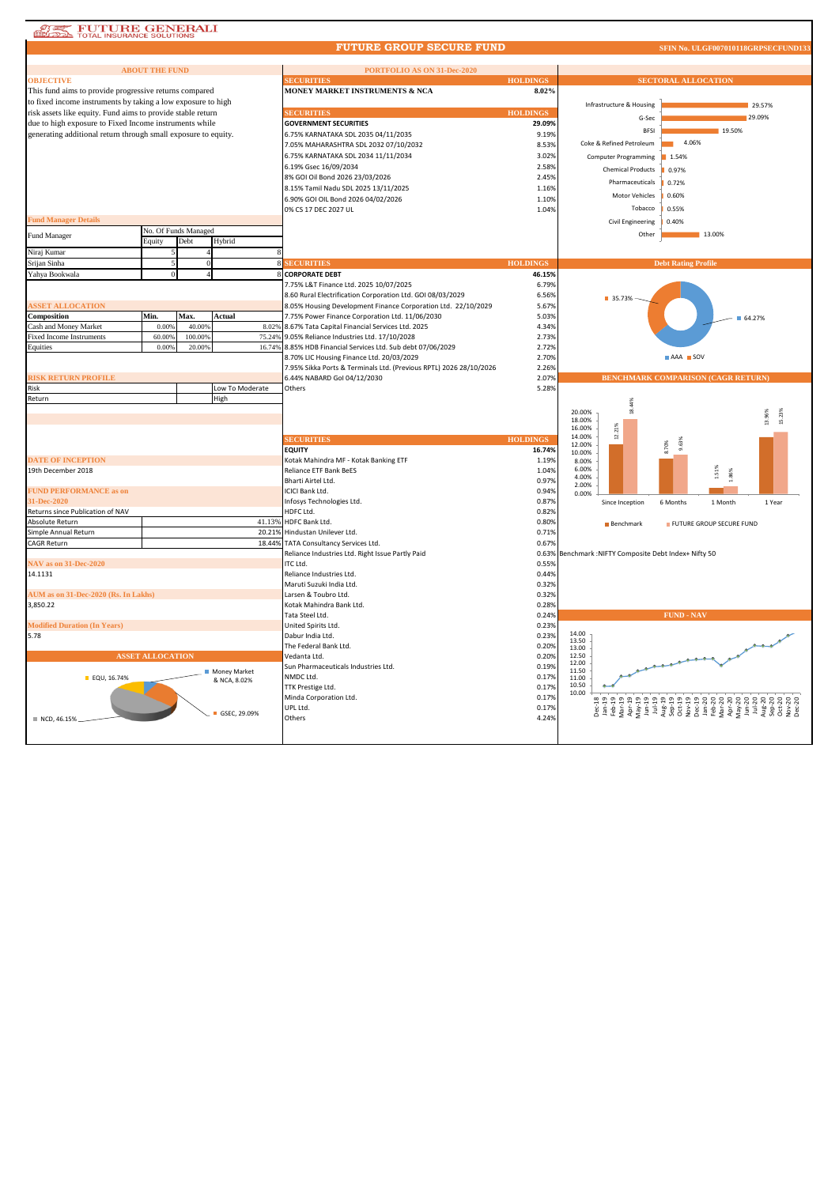| <b>FUTURE GENERALI</b>                                         |                         |                      |                              |                                                                                                   |                 |                                                  |                                           |
|----------------------------------------------------------------|-------------------------|----------------------|------------------------------|---------------------------------------------------------------------------------------------------|-----------------|--------------------------------------------------|-------------------------------------------|
|                                                                |                         |                      |                              | <b>FUTURE GROUP SECURE FUND</b>                                                                   |                 |                                                  | SFIN No. ULGF007010118GRPSECFUND133       |
|                                                                | <b>ABOUT THE FUND</b>   |                      |                              | PORTFOLIO AS ON 31-Dec-2020                                                                       |                 |                                                  |                                           |
| <b>OBJECTIVE</b>                                               |                         |                      |                              | <b>ECURITIES</b>                                                                                  | <b>HOLDINGS</b> |                                                  | <b>SECTORAL ALLOCATION</b>                |
| This fund aims to provide progressive returns compared         |                         |                      |                              | <b>MONEY MARKET INSTRUMENTS &amp; NCA</b>                                                         | 8.02%           |                                                  |                                           |
| to fixed income instruments by taking a low exposure to high   |                         |                      |                              |                                                                                                   |                 | Infrastructure & Housing                         | 29.57%                                    |
| risk assets like equity. Fund aims to provide stable return    |                         |                      |                              | <b>ECURITIES</b>                                                                                  | <b>HOLDINGS</b> | G-Sec                                            | 29.09%                                    |
| due to high exposure to Fixed Income instruments while         |                         |                      |                              | <b>GOVERNMENT SECURITIES</b>                                                                      | 29.09%          |                                                  |                                           |
| generating additional return through small exposure to equity. |                         |                      |                              | 6.75% KARNATAKA SDL 2035 04/11/2035                                                               | 9.19%           | <b>BFSI</b>                                      | 19.50%                                    |
|                                                                |                         |                      |                              | 7.05% MAHARASHTRA SDL 2032 07/10/2032                                                             | 8.53%           | Coke & Refined Petroleum                         | 4.06%                                     |
|                                                                |                         |                      |                              | 6.75% KARNATAKA SDL 2034 11/11/2034                                                               | 3.02%           | Computer Programming<br>1.54%                    |                                           |
|                                                                |                         |                      |                              | 6.19% Gsec 16/09/2034                                                                             | 2.58%           | <b>Chemical Products</b><br>0.97%                |                                           |
|                                                                |                         |                      |                              | 8% GOI Oil Bond 2026 23/03/2026                                                                   | 2.45%           | Pharmaceuticals<br>0.72%                         |                                           |
|                                                                |                         |                      |                              | 8.15% Tamil Nadu SDL 2025 13/11/2025                                                              | 1.16%           | Motor Vehicles<br>0.60%                          |                                           |
|                                                                |                         |                      |                              | 6.90% GOI OIL Bond 2026 04/02/2026                                                                | 1.10%           | Tobacco<br>0.55%                                 |                                           |
| <b>Fund Manager Details</b>                                    |                         |                      |                              | 0% CS 17 DEC 2027 UL                                                                              | 1.04%           |                                                  |                                           |
|                                                                |                         | No. Of Funds Managed |                              |                                                                                                   |                 | Civil Engineering<br>0.40%                       |                                           |
| <b>Fund Manager</b>                                            | Equity                  | Debt                 | Hybrid                       |                                                                                                   |                 | Other                                            | 13.00%                                    |
| Niraj Kumar                                                    |                         |                      |                              |                                                                                                   |                 |                                                  |                                           |
| Srijan Sinha                                                   |                         |                      |                              | <b>ECURITIES</b>                                                                                  | <b>HOLDINGS</b> |                                                  | <b>Debt Rating Profile</b>                |
| Yahya Bookwala                                                 | $\Omega$                |                      |                              | 8 CORPORATE DEBT                                                                                  | 46.15%          |                                                  |                                           |
|                                                                |                         |                      |                              | 7.75% L&T Finance Ltd. 2025 10/07/2025                                                            | 6.79%           |                                                  |                                           |
|                                                                |                         |                      |                              | 8.60 Rural Electrification Corporation Ltd. GOI 08/03/2029                                        | 6.56%           | 35.73%                                           |                                           |
| <b>SSET ALLOCATION</b>                                         |                         |                      |                              | 8.05% Housing Development Finance Corporation Ltd. 22/10/2029                                     | 5.67%           |                                                  |                                           |
| Composition                                                    | Min.                    | Max.                 | Actual                       | 7.75% Power Finance Corporation Ltd. 11/06/2030                                                   | 5.03%           |                                                  | 64.27%                                    |
| Cash and Money Market                                          | 0.00%                   | 40.009               |                              | 8.02% 8.67% Tata Capital Financial Services Ltd. 2025                                             | 4.34%           |                                                  |                                           |
| <b>Fixed Income Instruments</b>                                | 60.00%                  | 100.009              |                              | 75.24% 9.05% Reliance Industries Ltd. 17/10/2028                                                  | 2.73%           |                                                  |                                           |
| Equities                                                       | 0.00%                   | 20.00%               | 16.74%                       | 8.85% HDB Financial Services Ltd. Sub debt 07/06/2029                                             | 2.72%           |                                                  |                                           |
|                                                                |                         |                      |                              | 8.70% LIC Housing Finance Ltd. 20/03/2029                                                         | 2.70%           |                                                  | AAA SOV                                   |
| <b>ISK RETURN PROFILE</b>                                      |                         |                      |                              | 7.95% Sikka Ports & Terminals Ltd. (Previous RPTL) 2026 28/10/2026<br>6.44% NABARD Gol 04/12/2030 | 2.26%<br>2.07%  |                                                  | <b>BENCHMARK COMPARISON (CAGR RETURN)</b> |
| Risk                                                           |                         |                      | Low To Moderate              | Others                                                                                            | 5.28%           |                                                  |                                           |
| Return                                                         |                         |                      | High                         |                                                                                                   |                 |                                                  |                                           |
|                                                                |                         |                      |                              |                                                                                                   |                 | 18.44%<br>20.00%                                 |                                           |
|                                                                |                         |                      |                              |                                                                                                   |                 | 18.00%                                           |                                           |
|                                                                |                         |                      |                              |                                                                                                   |                 | 12.21%<br>16.00%                                 |                                           |
|                                                                |                         |                      |                              | <b>ECURITIES</b>                                                                                  | <b>HOLDINGS</b> | 14.00%<br>8.70%<br>12.00%                        |                                           |
|                                                                |                         |                      |                              | <b>EQUITY</b>                                                                                     | 16.74%          | 10.00%                                           |                                           |
| <b>DATE OF INCEPTION</b><br>19th December 2018                 |                         |                      |                              | Kotak Mahindra MF - Kotak Banking ETF<br>Reliance ETF Bank BeES                                   | 1.19%           | 8.00%<br>6.00%                                   |                                           |
|                                                                |                         |                      |                              | Bharti Airtel Ltd.                                                                                | 1.04%<br>0.97%  | 4.00%                                            | 1.51%<br>1.86%                            |
| <b>FUND PERFORMANCE as on</b>                                  |                         |                      |                              | ICICI Bank Ltd.                                                                                   | 0.94%           | 2.00%                                            |                                           |
| 31-Dec-2020                                                    |                         |                      |                              | Infosys Technologies Ltd.                                                                         | 0.87%           | 0.00%<br>6 Months<br>Since Inception             | 1 Year<br>1 Month                         |
| Returns since Publication of NAV                               |                         |                      |                              | HDFC Ltd.                                                                                         | 0.82%           |                                                  |                                           |
| Absolute Return                                                |                         |                      | 41.13%                       | <b>HDFC Bank Ltd.</b>                                                                             | 0.80%           | <b>Benchmark</b>                                 | FUTURE GROUP SECURE FUND                  |
| Simple Annual Return                                           |                         |                      |                              | 20.21% Hindustan Unilever Ltd.                                                                    | 0.71%           |                                                  |                                           |
| CAGR Return                                                    |                         |                      | 18.44%                       | TATA Consultancy Services Ltd.                                                                    | 0.67%           |                                                  |                                           |
|                                                                |                         |                      |                              | Reliance Industries Ltd. Right Issue Partly Paid                                                  | 0.63%           | Benchmark : NIFTY Composite Debt Index+ Nifty 50 |                                           |
| NAV as on 31-Dec-2020                                          |                         |                      |                              | ITC Ltd.                                                                                          | 0.55%           |                                                  |                                           |
|                                                                |                         |                      |                              | Reliance Industries Ltd.                                                                          | 0.44%           |                                                  |                                           |
| 14.1131                                                        |                         |                      |                              |                                                                                                   |                 |                                                  |                                           |
|                                                                |                         |                      |                              | Maruti Suzuki India Ltd.                                                                          | 0.32%           |                                                  |                                           |
| AUM as on 31-Dec-2020 (Rs. In Lakhs)<br>3,850.22               |                         |                      |                              | Larsen & Toubro Ltd.<br>Kotak Mahindra Bank Ltd.                                                  | 0.32%<br>0.28%  |                                                  |                                           |
|                                                                |                         |                      |                              | Tata Steel Ltd.                                                                                   | 0.24%           |                                                  | <b>FUND - NAV</b>                         |
| <b>Modified Duration (In Years)</b>                            |                         |                      |                              | United Spirits Ltd.                                                                               | 0.23%           |                                                  |                                           |
| 5.78                                                           |                         |                      |                              | Dabur India Ltd.                                                                                  | 0.23%           | 14.00                                            |                                           |
|                                                                |                         |                      |                              | The Federal Bank Ltd.                                                                             | 0.20%           | 13.50<br>13.00                                   |                                           |
|                                                                | <b>ASSET ALLOCATION</b> |                      |                              | Vedanta Ltd.                                                                                      | 0.20%           | 12.50                                            |                                           |
|                                                                |                         |                      |                              | Sun Pharmaceuticals Industries Ltd.                                                               | 0.19%           | 12.00<br>11.50                                   |                                           |
| EQU, 16.74%                                                    |                         |                      | Money Market<br>& NCA, 8.02% | NMDC Ltd.                                                                                         | 0.17%           | 11.00                                            |                                           |
|                                                                |                         |                      |                              | TTK Prestige Ltd.                                                                                 | 0.17%           | 10.50<br>10.00                                   |                                           |
|                                                                |                         |                      |                              | Minda Corporation Ltd.                                                                            | 0.17%           |                                                  |                                           |
|                                                                |                         |                      | GSEC, 29.09%                 | UPL Ltd.                                                                                          | 0.17%           |                                                  |                                           |
| NCD, 46.15%                                                    |                         |                      |                              | Others                                                                                            | 4.24%           |                                                  |                                           |
|                                                                |                         |                      |                              |                                                                                                   |                 |                                                  |                                           |